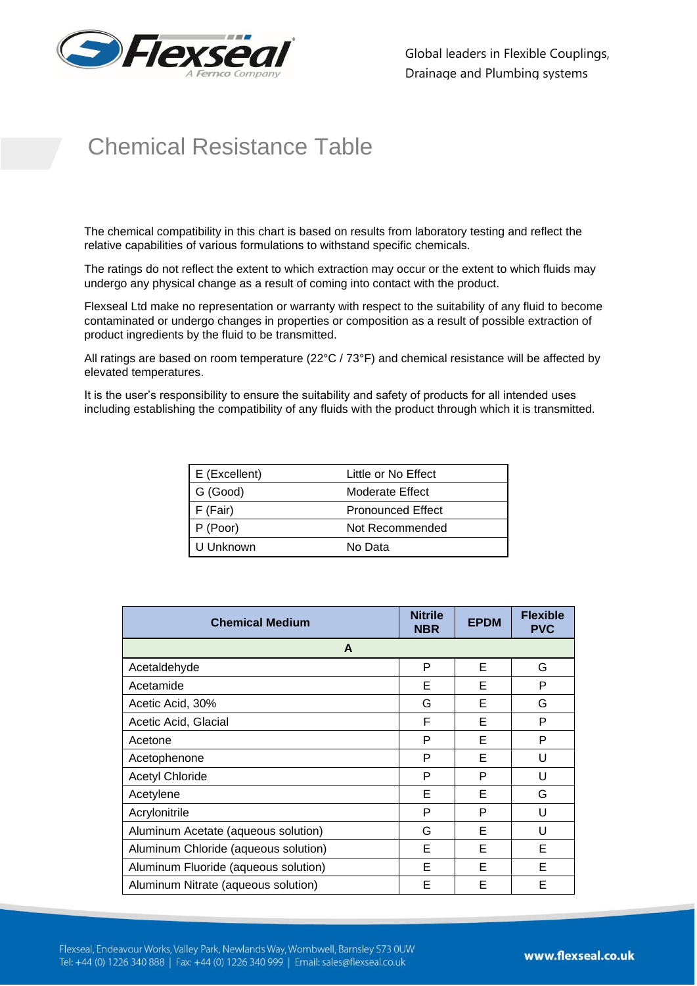

Global leaders in Flexible Couplings, Drainage and Plumbing systems

## Chemical Resistance Table

The chemical compatibility in this chart is based on results from laboratory testing and reflect the relative capabilities of various formulations to withstand specific chemicals.

The ratings do not reflect the extent to which extraction may occur or the extent to which fluids may undergo any physical change as a result of coming into contact with the product.

Flexseal Ltd make no representation or warranty with respect to the suitability of any fluid to become contaminated or undergo changes in properties or composition as a result of possible extraction of product ingredients by the fluid to be transmitted.

All ratings are based on room temperature (22°C / 73°F) and chemical resistance will be affected by elevated temperatures.

It is the user's responsibility to ensure the suitability and safety of products for all intended uses including establishing the compatibility of any fluids with the product through which it is transmitted.

| $E$ (Excellent) | Little or No Effect      |
|-----------------|--------------------------|
| G (Good)        | Moderate Effect          |
| $F$ (Fair)      | <b>Pronounced Effect</b> |
| $P$ (Poor)      | Not Recommended          |
| l U Unknown     | No Data                  |

| <b>Chemical Medium</b>               | <b>Nitrile</b><br><b>NBR</b> | <b>EPDM</b> | <b>Flexible</b><br><b>PVC</b> |
|--------------------------------------|------------------------------|-------------|-------------------------------|
| A                                    |                              |             |                               |
| Acetaldehyde                         | P                            | F           | G                             |
| Acetamide                            | Е                            | Е           | P                             |
| Acetic Acid, 30%                     | G                            | Е           | G                             |
| Acetic Acid, Glacial                 | F                            | Е           | P                             |
| Acetone                              | P                            | Е           | P                             |
| Acetophenone                         | P                            | F           | U                             |
| <b>Acetyl Chloride</b>               | P                            | P           | U                             |
| Acetylene                            | Е                            | F           | G                             |
| Acrylonitrile                        | P                            | P           | U                             |
| Aluminum Acetate (aqueous solution)  | G                            | Е           | U                             |
| Aluminum Chloride (aqueous solution) | Е                            | Е           | Е                             |
| Aluminum Fluoride (aqueous solution) | Е                            | Е           | Е                             |
| Aluminum Nitrate (aqueous solution)  | Е                            | Е           | F                             |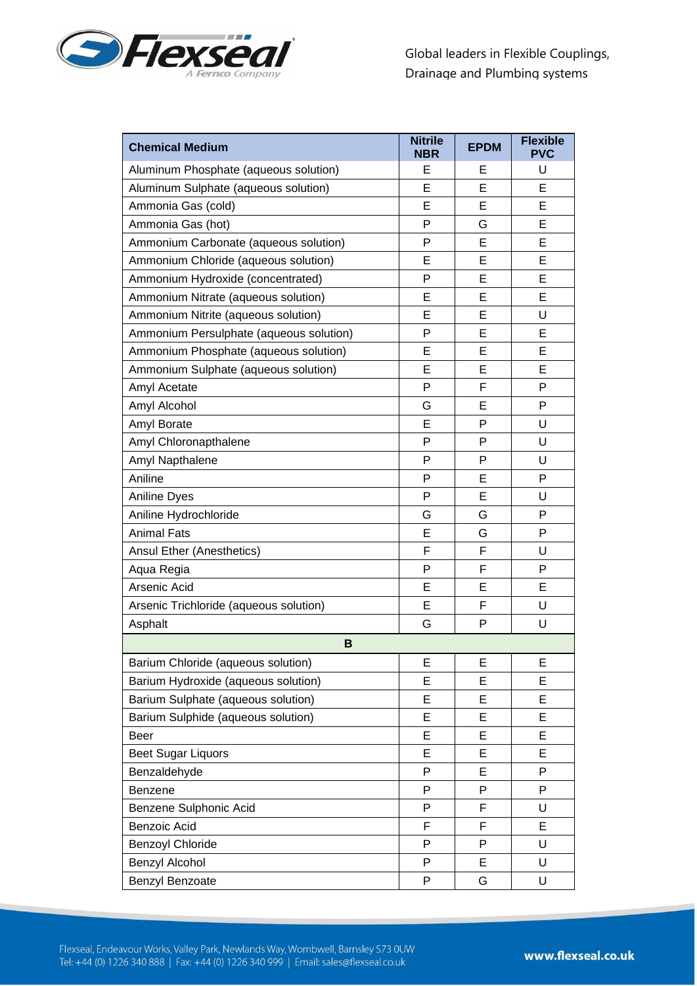

| <b>Chemical Medium</b>                  | <b>Nitrile</b><br><b>NBR</b> | <b>EPDM</b> | <b>Flexible</b><br><b>PVC</b> |
|-----------------------------------------|------------------------------|-------------|-------------------------------|
| Aluminum Phosphate (aqueous solution)   | Е                            | Е           | U                             |
| Aluminum Sulphate (aqueous solution)    | Е                            | Е           | Е                             |
| Ammonia Gas (cold)                      | E                            | E           | E                             |
| Ammonia Gas (hot)                       | P                            | G           | E                             |
| Ammonium Carbonate (aqueous solution)   | P                            | E           | E                             |
| Ammonium Chloride (aqueous solution)    | E                            | E           | E                             |
| Ammonium Hydroxide (concentrated)       | P                            | Е           | E                             |
| Ammonium Nitrate (aqueous solution)     | Е                            | E           | Е                             |
| Ammonium Nitrite (aqueous solution)     | E                            | E           | U                             |
| Ammonium Persulphate (aqueous solution) | P                            | E           | Е                             |
| Ammonium Phosphate (aqueous solution)   | E                            | E           | E                             |
| Ammonium Sulphate (aqueous solution)    | E                            | E           | E                             |
| Amyl Acetate                            | P                            | F           | P                             |
| Amyl Alcohol                            | G                            | Е           | P                             |
| Amyl Borate                             | E                            | P           | U                             |
| Amyl Chloronapthalene                   | P                            | P           | U                             |
| Amyl Napthalene                         | P                            | P           | U                             |
| Aniline                                 | P                            | E           | P                             |
| <b>Aniline Dyes</b>                     | P                            | Е           | U                             |
| Aniline Hydrochloride                   | G                            | G           | P                             |
| <b>Animal Fats</b>                      | Е                            | G           | P                             |
| Ansul Ether (Anesthetics)               | F                            | F           | U                             |
| Aqua Regia                              | P                            | F           | P                             |
| Arsenic Acid                            | E                            | E           | E                             |
| Arsenic Trichloride (aqueous solution)  | Е                            | F           | U                             |
| Asphalt                                 | G                            | P           | U                             |
| B                                       |                              |             |                               |
| Barium Chloride (aqueous solution)      | E                            | Ε           | Ε                             |
| Barium Hydroxide (aqueous solution)     | E                            | E           | Е                             |
| Barium Sulphate (aqueous solution)      | E                            | E           | E                             |
| Barium Sulphide (aqueous solution)      | E                            | E           | E                             |
| Beer                                    | E                            | E           | Е                             |
| <b>Beet Sugar Liquors</b>               | Е                            | E           | Е                             |
| Benzaldehyde                            | P                            | E           | P                             |
| Benzene                                 | P                            | P           | P                             |
| Benzene Sulphonic Acid                  | P                            | F           | U                             |
| Benzoic Acid                            | F                            | F           | E                             |
| <b>Benzoyl Chloride</b>                 | P                            | P           | U                             |
| Benzyl Alcohol                          | P                            | E           | U                             |
| Benzyl Benzoate                         | P                            | G           | U                             |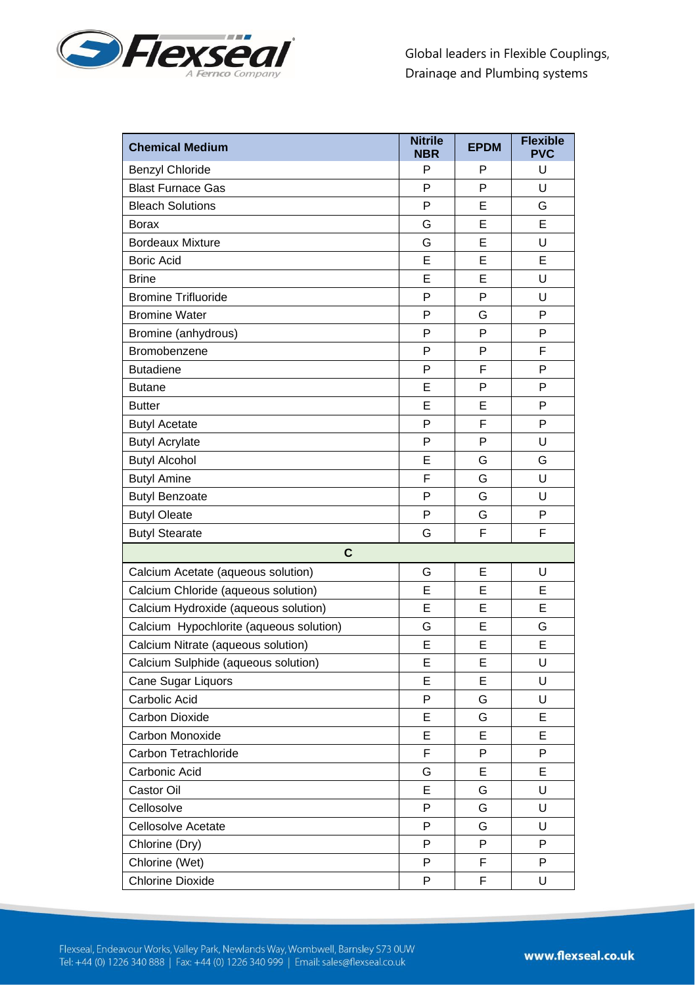

| <b>Chemical Medium</b>                  | <b>Nitrile</b><br><b>NBR</b> | <b>EPDM</b> | <b>Flexible</b><br><b>PVC</b> |
|-----------------------------------------|------------------------------|-------------|-------------------------------|
| <b>Benzyl Chloride</b>                  | P                            | P           | U                             |
| <b>Blast Furnace Gas</b>                | P                            | P           | U                             |
| <b>Bleach Solutions</b>                 | P                            | E           | G                             |
| <b>Borax</b>                            | G                            | E           | E                             |
| <b>Bordeaux Mixture</b>                 | G                            | E           | U                             |
| <b>Boric Acid</b>                       | E                            | E           | E                             |
| <b>Brine</b>                            | E                            | Е           | U                             |
| <b>Bromine Trifluoride</b>              | P                            | P           | U                             |
| <b>Bromine Water</b>                    | P                            | G           | P                             |
| Bromine (anhydrous)                     | P                            | P           | P                             |
| Bromobenzene                            | P                            | P           | F                             |
| <b>Butadiene</b>                        | P                            | F           | P                             |
| <b>Butane</b>                           | Е                            | P           | P                             |
| <b>Butter</b>                           | Е                            | E           | P                             |
| <b>Butyl Acetate</b>                    | P                            | F           | P                             |
| <b>Butyl Acrylate</b>                   | P                            | P           | U                             |
| <b>Butyl Alcohol</b>                    | E                            | G           | G                             |
| <b>Butyl Amine</b>                      | F                            | G           | U                             |
| <b>Butyl Benzoate</b>                   | P                            | G           | U                             |
| <b>Butyl Oleate</b>                     | P                            | G           | $\mathsf{P}$                  |
| <b>Butyl Stearate</b>                   | G                            | F           | F                             |
| $\mathbf c$                             |                              |             |                               |
| Calcium Acetate (aqueous solution)      | G                            | E           | U                             |
| Calcium Chloride (aqueous solution)     | E                            | Е           | Е                             |
| Calcium Hydroxide (aqueous solution)    | E                            | E           | E                             |
| Calcium Hypochlorite (aqueous solution) | G                            | E           | G                             |
| Calcium Nitrate (aqueous solution)      | E                            | E           | E                             |
| Calcium Sulphide (aqueous solution)     | E                            | Е           | U                             |
| Cane Sugar Liquors                      | E                            | E           | U                             |
| Carbolic Acid                           | P                            | G           | U                             |
| <b>Carbon Dioxide</b>                   | E                            | G           | E                             |
| Carbon Monoxide                         | E                            | E           | E                             |
| Carbon Tetrachloride                    | F                            | P           | $\mathsf{P}$                  |
| Carbonic Acid                           | G                            | E           | E                             |
| Castor Oil                              | E                            | G           | U                             |
| Cellosolve                              | P                            | G           | U                             |
| Cellosolve Acetate                      | P                            | G           | U                             |
| Chlorine (Dry)                          | P                            | P           | P                             |
| Chlorine (Wet)                          | P                            | F           | P                             |
| <b>Chlorine Dioxide</b>                 | P                            | F           | U                             |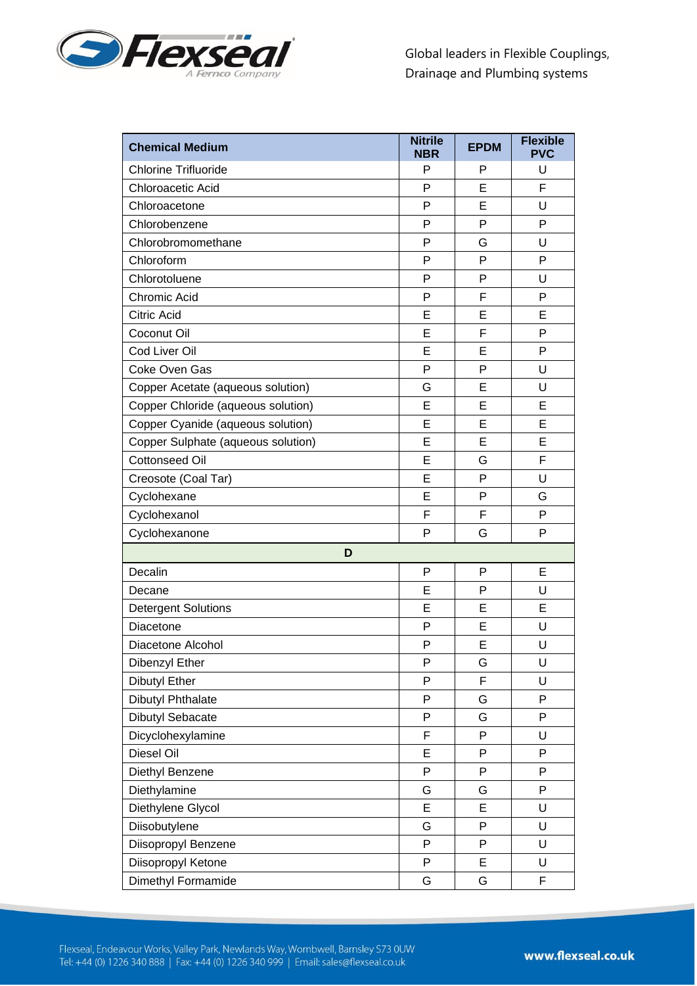

| <b>Chemical Medium</b>             | <b>Nitrile</b><br><b>NBR</b> | <b>EPDM</b> | <b>Flexible</b><br><b>PVC</b> |
|------------------------------------|------------------------------|-------------|-------------------------------|
| <b>Chlorine Trifluoride</b>        | P                            | Р           | U                             |
| Chloroacetic Acid                  | P                            | E           | F                             |
| Chloroacetone                      | P                            | E           | U                             |
| Chlorobenzene                      | P                            | P           | P                             |
| Chlorobromomethane                 | P                            | G           | U                             |
| Chloroform                         | P                            | P           | P                             |
| Chlorotoluene                      | P                            | Р           | U                             |
| Chromic Acid                       | P                            | F           | P                             |
| <b>Citric Acid</b>                 | E                            | E           | E                             |
| Coconut Oil                        | E                            | F           | P                             |
| Cod Liver Oil                      | E                            | E           | P                             |
| Coke Oven Gas                      | P                            | P           | U                             |
| Copper Acetate (aqueous solution)  | G                            | E           | U                             |
| Copper Chloride (aqueous solution) | E                            | E           | E                             |
| Copper Cyanide (aqueous solution)  | E                            | E           | E                             |
| Copper Sulphate (aqueous solution) | E                            | E           | E                             |
| <b>Cottonseed Oil</b>              | E                            | G           | F                             |
| Creosote (Coal Tar)                | E                            | P           | U                             |
| Cyclohexane                        | Е                            | Р           | G                             |
| Cyclohexanol                       | F                            | F           | P                             |
| Cyclohexanone                      | P                            | G           | P                             |
| D                                  |                              |             |                               |
| Decalin                            | P                            | P           | E                             |
| Decane                             | Ε                            | P           | U                             |
| <b>Detergent Solutions</b>         | E                            | E           | E                             |
| Diacetone                          | P                            | E           | U                             |
| Diacetone Alcohol                  | P                            | E           | U                             |
| Dibenzyl Ether                     | P                            | G           | U                             |
| <b>Dibutyl Ether</b>               | P                            | F           | U                             |
| <b>Dibutyl Phthalate</b>           | P                            | G           | P                             |
| Dibutyl Sebacate                   | P                            | G           | P                             |
| Dicyclohexylamine                  | F                            | P           | U                             |
| Diesel Oil                         | Е                            | P           | P                             |
| Diethyl Benzene                    | P                            | P           | P                             |
| Diethylamine                       | G                            | G           | P                             |
| Diethylene Glycol                  | E                            | E           | U                             |
| Diisobutylene                      | G                            | P           | U                             |
| Diisopropyl Benzene                | P                            | P           | U                             |
| Diisopropyl Ketone                 | P                            | E           | U                             |
| Dimethyl Formamide                 | G                            | G           | F                             |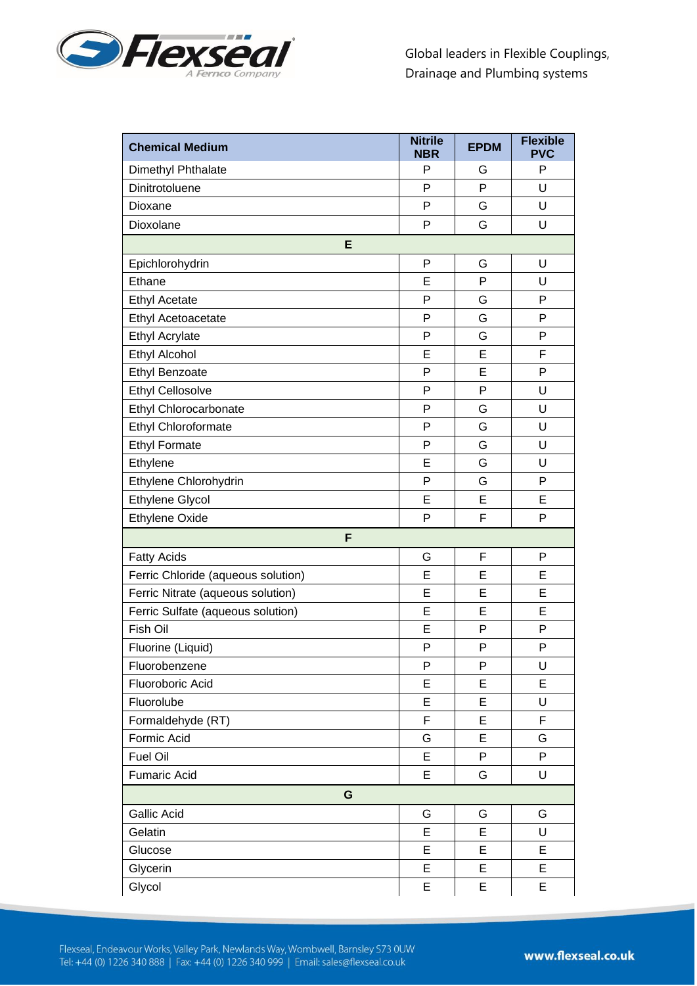

| <b>Chemical Medium</b>             | <b>Nitrile</b><br><b>NBR</b> | <b>EPDM</b> | <b>Flexible</b><br><b>PVC</b> |
|------------------------------------|------------------------------|-------------|-------------------------------|
| Dimethyl Phthalate                 | P                            | G           | P                             |
| Dinitrotoluene                     | P                            | P           | U                             |
| Dioxane                            | P                            | G           | U                             |
| Dioxolane                          | P                            | G           | U                             |
| E                                  |                              |             |                               |
| Epichlorohydrin                    | P                            | G           | U                             |
| Ethane                             | Е                            | P           | U                             |
| <b>Ethyl Acetate</b>               | P                            | G           | P                             |
| Ethyl Acetoacetate                 | P                            | G           | P                             |
| <b>Ethyl Acrylate</b>              | P                            | G           | P                             |
| Ethyl Alcohol                      | E                            | E           | F                             |
| <b>Ethyl Benzoate</b>              | P                            | E           | P                             |
| <b>Ethyl Cellosolve</b>            | P                            | P           | U                             |
| Ethyl Chlorocarbonate              | P                            | G           | U                             |
| Ethyl Chloroformate                | P                            | G           | U                             |
| <b>Ethyl Formate</b>               | P                            | G           | U                             |
| Ethylene                           | E                            | G           | U                             |
| Ethylene Chlorohydrin              | P                            | G           | P                             |
| <b>Ethylene Glycol</b>             | Е                            | E           | E                             |
| <b>Ethylene Oxide</b>              | P                            | F           | P                             |
| F                                  |                              |             |                               |
| <b>Fatty Acids</b>                 | G                            | F           | P                             |
| Ferric Chloride (aqueous solution) | E                            | E           | E                             |
| Ferric Nitrate (aqueous solution)  | E                            | E           | E                             |
| Ferric Sulfate (aqueous solution)  | E                            | E           | E                             |
| Fish Oil                           | E                            | P           | P                             |
| Fluorine (Liquid)                  | P                            | P           | P                             |
| Fluorobenzene                      | P                            | P           | U                             |
| Fluoroboric Acid                   | E                            | E           | E                             |
| Fluorolube                         | E                            | E           | U                             |
| Formaldehyde (RT)                  | F                            | E           | F                             |
| Formic Acid                        | G                            | E           | G                             |
| Fuel Oil                           | E                            | P           | P                             |
| <b>Fumaric Acid</b>                | E                            | G           | U                             |
| G                                  |                              |             |                               |
| Gallic Acid                        | G                            | G           | G                             |
| Gelatin                            | E                            | E           | U                             |
| Glucose                            | E                            | E           | E                             |
| Glycerin                           | E                            | E           | E                             |
| Glycol                             | E                            | E           | E                             |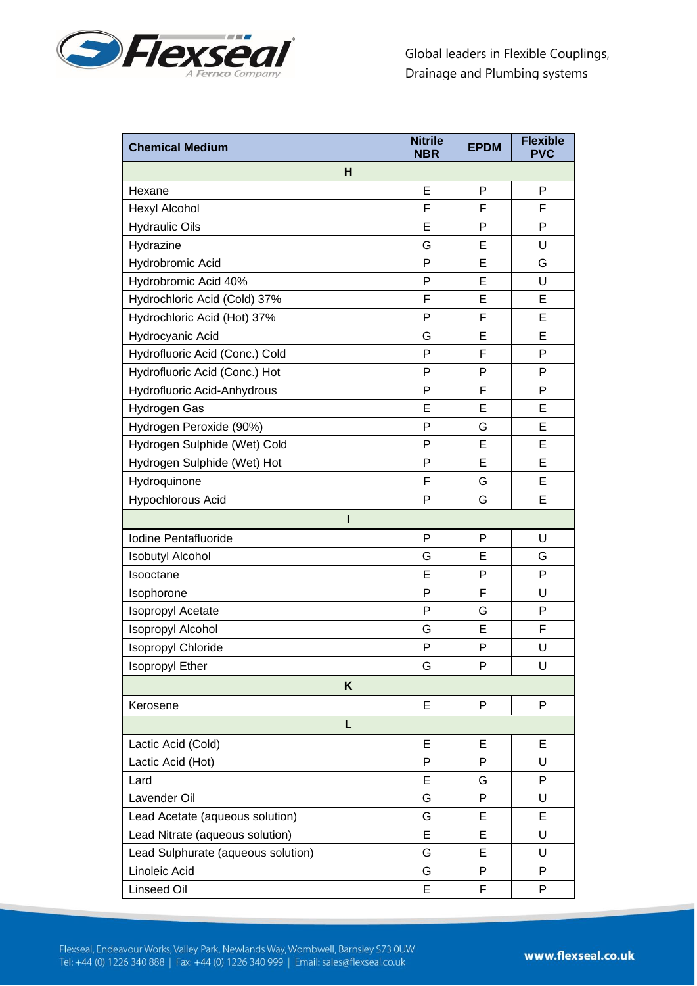

| н<br>P<br>P<br>Е<br>Hexane<br>F<br>F<br>Hexyl Alcohol<br>F<br><b>Hydraulic Oils</b><br>P<br>P<br>Е<br>U<br>Hydrazine<br>G<br>Е<br>E<br>Hydrobromic Acid<br>P<br>G<br>E<br>U<br>Hydrobromic Acid 40%<br>P<br>E<br>E<br>F<br>Hydrochloric Acid (Cold) 37%<br>F<br>Hydrochloric Acid (Hot) 37%<br>P<br>Е<br>Hydrocyanic Acid<br>E<br>E<br>G<br>P<br>F<br>P<br>Hydrofluoric Acid (Conc.) Cold<br>Hydrofluoric Acid (Conc.) Hot<br>P<br>P<br>P<br>F<br>P<br>Hydrofluoric Acid-Anhydrous<br>P<br>E<br>E<br>E<br>Hydrogen Gas<br>Hydrogen Peroxide (90%)<br>P<br>G<br>E<br>E<br>P<br>E<br>Hydrogen Sulphide (Wet) Cold<br>P<br>E<br>E<br>Hydrogen Sulphide (Wet) Hot<br>E<br>Hydroquinone<br>F<br>G<br>Hypochlorous Acid<br>P<br>G<br>Е<br>ı<br>P<br>Iodine Pentafluoride<br>P<br>U<br>E<br><b>Isobutyl Alcohol</b><br>G<br>G<br>P<br>P<br>Isooctane<br>Е<br>F<br>P<br>U<br>Isophorone<br>P<br>Isopropyl Acetate<br>P<br>G<br>Isopropyl Alcohol<br>E<br>F<br>G<br>P<br>Isopropyl Chloride<br>P<br>U<br>U<br><b>Isopropyl Ether</b><br>P<br>G<br>K<br>P<br>P<br>Kerosene<br>Е<br>L<br>Lactic Acid (Cold)<br>Е<br>Е<br>E<br>U<br>Lactic Acid (Hot)<br>P<br>P<br>P<br>Е<br>G<br>Lard<br>Lavender Oil<br>P<br>G<br>U<br>Lead Acetate (aqueous solution)<br>E<br>E<br>G<br>Lead Nitrate (aqueous solution)<br>E<br>E<br>U<br>Lead Sulphurate (aqueous solution)<br>E<br>G<br>U | <b>Chemical Medium</b> | <b>Nitrile</b><br><b>NBR</b> | <b>EPDM</b> | <b>Flexible</b><br><b>PVC</b> |
|--------------------------------------------------------------------------------------------------------------------------------------------------------------------------------------------------------------------------------------------------------------------------------------------------------------------------------------------------------------------------------------------------------------------------------------------------------------------------------------------------------------------------------------------------------------------------------------------------------------------------------------------------------------------------------------------------------------------------------------------------------------------------------------------------------------------------------------------------------------------------------------------------------------------------------------------------------------------------------------------------------------------------------------------------------------------------------------------------------------------------------------------------------------------------------------------------------------------------------------------------------------------------------------------------------------------------------------------------------------------|------------------------|------------------------------|-------------|-------------------------------|
|                                                                                                                                                                                                                                                                                                                                                                                                                                                                                                                                                                                                                                                                                                                                                                                                                                                                                                                                                                                                                                                                                                                                                                                                                                                                                                                                                                    |                        |                              |             |                               |
|                                                                                                                                                                                                                                                                                                                                                                                                                                                                                                                                                                                                                                                                                                                                                                                                                                                                                                                                                                                                                                                                                                                                                                                                                                                                                                                                                                    |                        |                              |             |                               |
|                                                                                                                                                                                                                                                                                                                                                                                                                                                                                                                                                                                                                                                                                                                                                                                                                                                                                                                                                                                                                                                                                                                                                                                                                                                                                                                                                                    |                        |                              |             |                               |
|                                                                                                                                                                                                                                                                                                                                                                                                                                                                                                                                                                                                                                                                                                                                                                                                                                                                                                                                                                                                                                                                                                                                                                                                                                                                                                                                                                    |                        |                              |             |                               |
|                                                                                                                                                                                                                                                                                                                                                                                                                                                                                                                                                                                                                                                                                                                                                                                                                                                                                                                                                                                                                                                                                                                                                                                                                                                                                                                                                                    |                        |                              |             |                               |
|                                                                                                                                                                                                                                                                                                                                                                                                                                                                                                                                                                                                                                                                                                                                                                                                                                                                                                                                                                                                                                                                                                                                                                                                                                                                                                                                                                    |                        |                              |             |                               |
|                                                                                                                                                                                                                                                                                                                                                                                                                                                                                                                                                                                                                                                                                                                                                                                                                                                                                                                                                                                                                                                                                                                                                                                                                                                                                                                                                                    |                        |                              |             |                               |
|                                                                                                                                                                                                                                                                                                                                                                                                                                                                                                                                                                                                                                                                                                                                                                                                                                                                                                                                                                                                                                                                                                                                                                                                                                                                                                                                                                    |                        |                              |             |                               |
|                                                                                                                                                                                                                                                                                                                                                                                                                                                                                                                                                                                                                                                                                                                                                                                                                                                                                                                                                                                                                                                                                                                                                                                                                                                                                                                                                                    |                        |                              |             |                               |
|                                                                                                                                                                                                                                                                                                                                                                                                                                                                                                                                                                                                                                                                                                                                                                                                                                                                                                                                                                                                                                                                                                                                                                                                                                                                                                                                                                    |                        |                              |             |                               |
|                                                                                                                                                                                                                                                                                                                                                                                                                                                                                                                                                                                                                                                                                                                                                                                                                                                                                                                                                                                                                                                                                                                                                                                                                                                                                                                                                                    |                        |                              |             |                               |
|                                                                                                                                                                                                                                                                                                                                                                                                                                                                                                                                                                                                                                                                                                                                                                                                                                                                                                                                                                                                                                                                                                                                                                                                                                                                                                                                                                    |                        |                              |             |                               |
|                                                                                                                                                                                                                                                                                                                                                                                                                                                                                                                                                                                                                                                                                                                                                                                                                                                                                                                                                                                                                                                                                                                                                                                                                                                                                                                                                                    |                        |                              |             |                               |
|                                                                                                                                                                                                                                                                                                                                                                                                                                                                                                                                                                                                                                                                                                                                                                                                                                                                                                                                                                                                                                                                                                                                                                                                                                                                                                                                                                    |                        |                              |             |                               |
|                                                                                                                                                                                                                                                                                                                                                                                                                                                                                                                                                                                                                                                                                                                                                                                                                                                                                                                                                                                                                                                                                                                                                                                                                                                                                                                                                                    |                        |                              |             |                               |
|                                                                                                                                                                                                                                                                                                                                                                                                                                                                                                                                                                                                                                                                                                                                                                                                                                                                                                                                                                                                                                                                                                                                                                                                                                                                                                                                                                    |                        |                              |             |                               |
|                                                                                                                                                                                                                                                                                                                                                                                                                                                                                                                                                                                                                                                                                                                                                                                                                                                                                                                                                                                                                                                                                                                                                                                                                                                                                                                                                                    |                        |                              |             |                               |
|                                                                                                                                                                                                                                                                                                                                                                                                                                                                                                                                                                                                                                                                                                                                                                                                                                                                                                                                                                                                                                                                                                                                                                                                                                                                                                                                                                    |                        |                              |             |                               |
|                                                                                                                                                                                                                                                                                                                                                                                                                                                                                                                                                                                                                                                                                                                                                                                                                                                                                                                                                                                                                                                                                                                                                                                                                                                                                                                                                                    |                        |                              |             |                               |
|                                                                                                                                                                                                                                                                                                                                                                                                                                                                                                                                                                                                                                                                                                                                                                                                                                                                                                                                                                                                                                                                                                                                                                                                                                                                                                                                                                    |                        |                              |             |                               |
|                                                                                                                                                                                                                                                                                                                                                                                                                                                                                                                                                                                                                                                                                                                                                                                                                                                                                                                                                                                                                                                                                                                                                                                                                                                                                                                                                                    |                        |                              |             |                               |
|                                                                                                                                                                                                                                                                                                                                                                                                                                                                                                                                                                                                                                                                                                                                                                                                                                                                                                                                                                                                                                                                                                                                                                                                                                                                                                                                                                    |                        |                              |             |                               |
|                                                                                                                                                                                                                                                                                                                                                                                                                                                                                                                                                                                                                                                                                                                                                                                                                                                                                                                                                                                                                                                                                                                                                                                                                                                                                                                                                                    |                        |                              |             |                               |
|                                                                                                                                                                                                                                                                                                                                                                                                                                                                                                                                                                                                                                                                                                                                                                                                                                                                                                                                                                                                                                                                                                                                                                                                                                                                                                                                                                    |                        |                              |             |                               |
|                                                                                                                                                                                                                                                                                                                                                                                                                                                                                                                                                                                                                                                                                                                                                                                                                                                                                                                                                                                                                                                                                                                                                                                                                                                                                                                                                                    |                        |                              |             |                               |
|                                                                                                                                                                                                                                                                                                                                                                                                                                                                                                                                                                                                                                                                                                                                                                                                                                                                                                                                                                                                                                                                                                                                                                                                                                                                                                                                                                    |                        |                              |             |                               |
|                                                                                                                                                                                                                                                                                                                                                                                                                                                                                                                                                                                                                                                                                                                                                                                                                                                                                                                                                                                                                                                                                                                                                                                                                                                                                                                                                                    |                        |                              |             |                               |
|                                                                                                                                                                                                                                                                                                                                                                                                                                                                                                                                                                                                                                                                                                                                                                                                                                                                                                                                                                                                                                                                                                                                                                                                                                                                                                                                                                    |                        |                              |             |                               |
|                                                                                                                                                                                                                                                                                                                                                                                                                                                                                                                                                                                                                                                                                                                                                                                                                                                                                                                                                                                                                                                                                                                                                                                                                                                                                                                                                                    |                        |                              |             |                               |
|                                                                                                                                                                                                                                                                                                                                                                                                                                                                                                                                                                                                                                                                                                                                                                                                                                                                                                                                                                                                                                                                                                                                                                                                                                                                                                                                                                    |                        |                              |             |                               |
|                                                                                                                                                                                                                                                                                                                                                                                                                                                                                                                                                                                                                                                                                                                                                                                                                                                                                                                                                                                                                                                                                                                                                                                                                                                                                                                                                                    |                        |                              |             |                               |
|                                                                                                                                                                                                                                                                                                                                                                                                                                                                                                                                                                                                                                                                                                                                                                                                                                                                                                                                                                                                                                                                                                                                                                                                                                                                                                                                                                    |                        |                              |             |                               |
|                                                                                                                                                                                                                                                                                                                                                                                                                                                                                                                                                                                                                                                                                                                                                                                                                                                                                                                                                                                                                                                                                                                                                                                                                                                                                                                                                                    |                        |                              |             |                               |
|                                                                                                                                                                                                                                                                                                                                                                                                                                                                                                                                                                                                                                                                                                                                                                                                                                                                                                                                                                                                                                                                                                                                                                                                                                                                                                                                                                    |                        |                              |             |                               |
|                                                                                                                                                                                                                                                                                                                                                                                                                                                                                                                                                                                                                                                                                                                                                                                                                                                                                                                                                                                                                                                                                                                                                                                                                                                                                                                                                                    |                        |                              |             |                               |
|                                                                                                                                                                                                                                                                                                                                                                                                                                                                                                                                                                                                                                                                                                                                                                                                                                                                                                                                                                                                                                                                                                                                                                                                                                                                                                                                                                    |                        |                              |             |                               |
|                                                                                                                                                                                                                                                                                                                                                                                                                                                                                                                                                                                                                                                                                                                                                                                                                                                                                                                                                                                                                                                                                                                                                                                                                                                                                                                                                                    |                        |                              |             |                               |
|                                                                                                                                                                                                                                                                                                                                                                                                                                                                                                                                                                                                                                                                                                                                                                                                                                                                                                                                                                                                                                                                                                                                                                                                                                                                                                                                                                    |                        |                              |             |                               |
|                                                                                                                                                                                                                                                                                                                                                                                                                                                                                                                                                                                                                                                                                                                                                                                                                                                                                                                                                                                                                                                                                                                                                                                                                                                                                                                                                                    | Linoleic Acid          | G                            | P           | P                             |
| <b>Linseed Oil</b><br>E<br>F<br>P                                                                                                                                                                                                                                                                                                                                                                                                                                                                                                                                                                                                                                                                                                                                                                                                                                                                                                                                                                                                                                                                                                                                                                                                                                                                                                                                  |                        |                              |             |                               |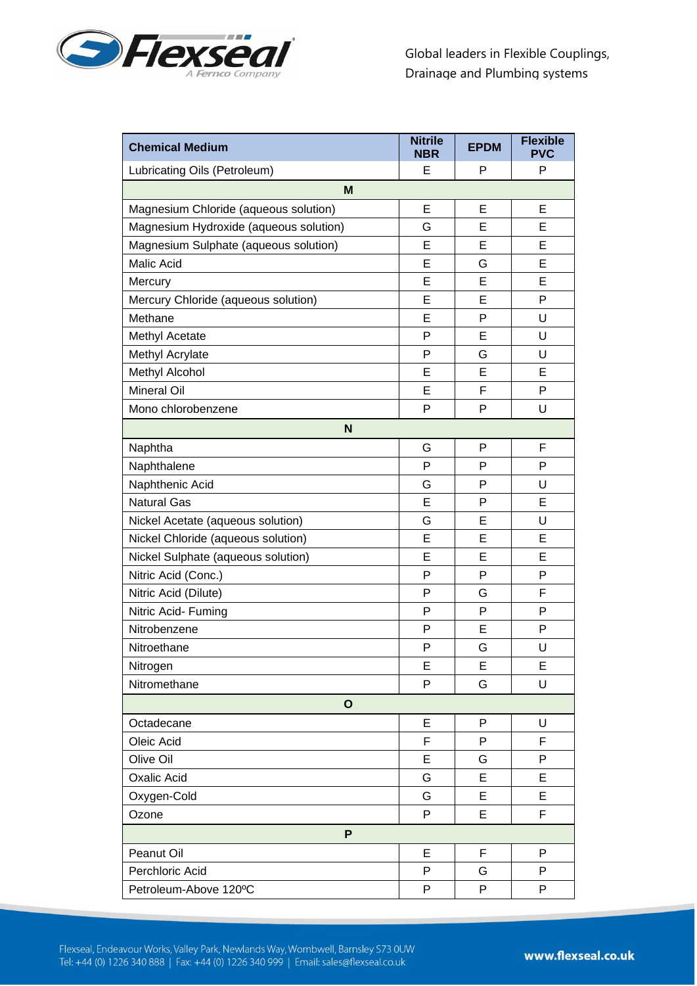

| <b>Chemical Medium</b>                 | <b>Nitrile</b><br><b>NBR</b> | <b>EPDM</b> | <b>Flexible</b><br><b>PVC</b> |
|----------------------------------------|------------------------------|-------------|-------------------------------|
| Lubricating Oils (Petroleum)           | Е                            | P           | P                             |
| M                                      |                              |             |                               |
| Magnesium Chloride (aqueous solution)  | E                            | E           | E                             |
| Magnesium Hydroxide (aqueous solution) | G                            | Е           | Е                             |
| Magnesium Sulphate (aqueous solution)  | Е                            | E           | E                             |
| <b>Malic Acid</b>                      | E                            | G           | E                             |
| Mercury                                | E                            | E           | E                             |
| Mercury Chloride (aqueous solution)    | E                            | E           | P                             |
| Methane                                | E                            | P           | U                             |
| Methyl Acetate                         | P                            | Е           | U                             |
| Methyl Acrylate                        | P                            | G           | U                             |
| Methyl Alcohol                         | E                            | E           | E                             |
| <b>Mineral Oil</b>                     | E                            | F           | P                             |
| Mono chlorobenzene                     | P                            | P           | U                             |
| N                                      |                              |             |                               |
| Naphtha                                | G                            | P           | F                             |
| Naphthalene                            | P                            | P           | P                             |
| Naphthenic Acid                        | G                            | P           | U                             |
| <b>Natural Gas</b>                     | E                            | P           | E                             |
| Nickel Acetate (aqueous solution)      | G                            | E           | U                             |
| Nickel Chloride (aqueous solution)     | E                            | E           | E                             |
| Nickel Sulphate (aqueous solution)     | E                            | E           | E                             |
| Nitric Acid (Conc.)                    | P                            | P           | P                             |
| Nitric Acid (Dilute)                   | P                            | G           | F                             |
| Nitric Acid- Fuming                    | P                            | P           | P                             |
| Nitrobenzene                           | P                            | Е           | P                             |
| Nitroethane                            | P                            | G           | U                             |
| Nitrogen                               | E                            | E           | E                             |
| Nitromethane                           | P                            | G           | U                             |
| $\mathbf{o}$                           |                              |             |                               |
| Octadecane                             | E                            | P           | U                             |
| Oleic Acid                             | F                            | P           | F                             |
| Olive Oil                              | E                            | G           | P                             |
| <b>Oxalic Acid</b>                     | G                            | E           | E                             |
| Oxygen-Cold                            | G                            | E           | E                             |
| Ozone                                  | P                            | Е           | F                             |
| P                                      |                              |             |                               |
| Peanut Oil                             | Е                            | F           | P                             |
| Perchloric Acid                        | P                            | G           | P                             |
| Petroleum-Above 120°C                  | P                            | P           | P                             |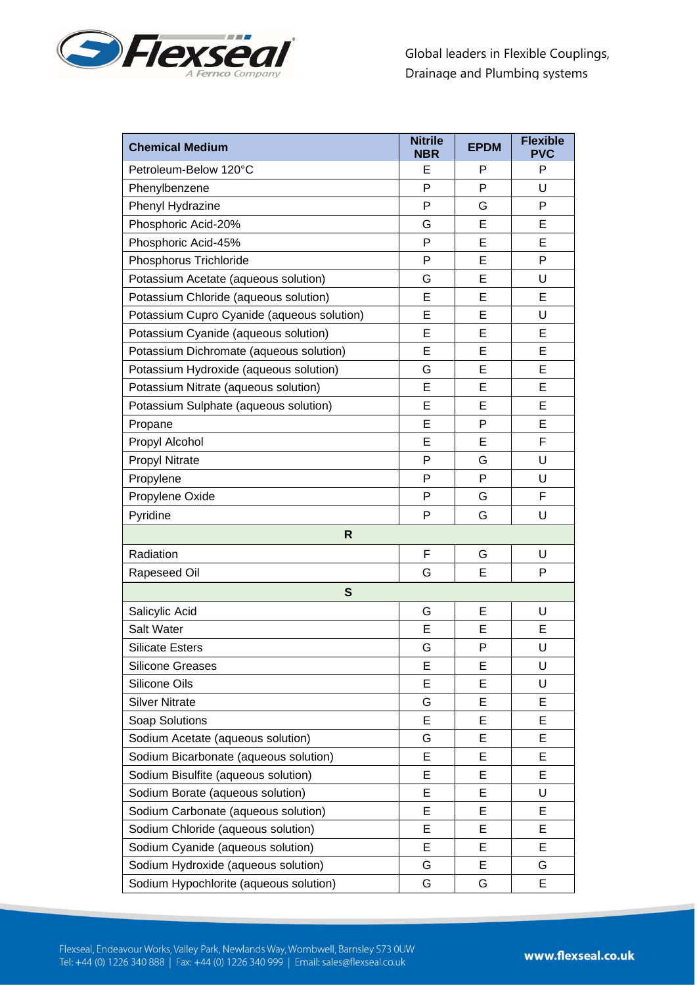

| <b>Chemical Medium</b>                     | <b>Nitrile</b><br><b>NBR</b> | <b>EPDM</b> | <b>Flexible</b><br><b>PVC</b> |
|--------------------------------------------|------------------------------|-------------|-------------------------------|
| Petroleum-Below 120°C                      | Е                            | P           | P                             |
| Phenylbenzene                              | P                            | P           | U                             |
| Phenyl Hydrazine                           | P                            | G           | P                             |
| Phosphoric Acid-20%                        | G                            | E           | Е                             |
| Phosphoric Acid-45%                        | P                            | E           | Е                             |
| Phosphorus Trichloride                     | P                            | Е           | P                             |
| Potassium Acetate (aqueous solution)       | G                            | E           | U                             |
| Potassium Chloride (aqueous solution)      | E                            | E           | E                             |
| Potassium Cupro Cyanide (aqueous solution) | Е                            | E           | U                             |
| Potassium Cyanide (aqueous solution)       | E                            | E           | E                             |
| Potassium Dichromate (aqueous solution)    | E                            | E           | E                             |
| Potassium Hydroxide (aqueous solution)     | G                            | E           | E                             |
| Potassium Nitrate (aqueous solution)       | E                            | E           | E                             |
| Potassium Sulphate (aqueous solution)      | E                            | E           | E                             |
| Propane                                    | Е                            | P           | Е                             |
| Propyl Alcohol                             | Е                            | E           | F                             |
| <b>Propyl Nitrate</b>                      | P                            | G           | U                             |
| Propylene                                  | P                            | P           | U                             |
| Propylene Oxide                            | P                            | G           | F                             |
| Pyridine                                   | P                            | G           | U                             |
| R                                          |                              |             |                               |
| Radiation                                  | F                            | G           | U                             |
| Rapeseed Oil                               | G                            | E           | P                             |
| S                                          |                              |             |                               |
| Salicylic Acid                             | G                            | E           | U                             |
| Salt Water                                 | E                            | Е           | Е                             |
| <b>Silicate Esters</b>                     | G                            | P           | U                             |
| <b>Silicone Greases</b>                    | E                            | E           | U                             |
| Silicone Oils                              | Е                            | Е           | U                             |
| <b>Silver Nitrate</b>                      | G                            | Е           | Е                             |
| Soap Solutions                             | E                            | E           | E                             |
| Sodium Acetate (aqueous solution)          | G                            | Е           | Е                             |
| Sodium Bicarbonate (aqueous solution)      | E                            | E           | E                             |
| Sodium Bisulfite (aqueous solution)        | E                            | E           | E                             |
| Sodium Borate (aqueous solution)           | E                            | E           | U                             |
| Sodium Carbonate (aqueous solution)        | E                            | E           | Е                             |
| Sodium Chloride (aqueous solution)         | E                            | E           | E                             |
| Sodium Cyanide (aqueous solution)          | E                            | E           | E                             |
| Sodium Hydroxide (aqueous solution)        | G                            | E           | G                             |
| Sodium Hypochlorite (aqueous solution)     | G                            | G           | E                             |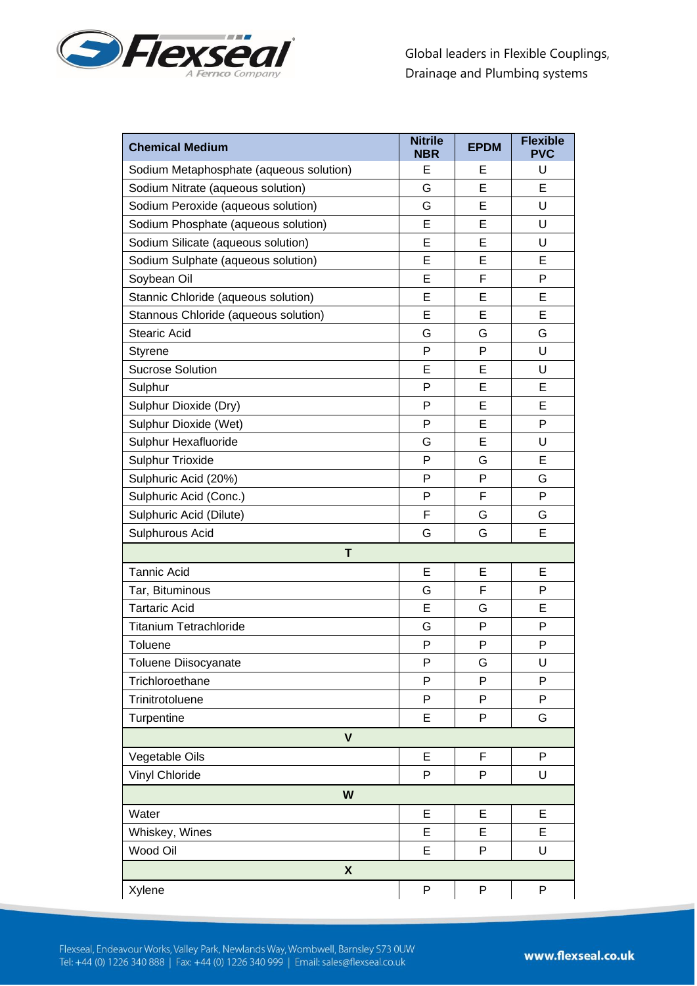

| <b>Chemical Medium</b>                  | <b>Nitrile</b><br><b>NBR</b> | <b>EPDM</b> | <b>Flexible</b><br><b>PVC</b> |
|-----------------------------------------|------------------------------|-------------|-------------------------------|
| Sodium Metaphosphate (aqueous solution) | Е                            | E           | U                             |
| Sodium Nitrate (aqueous solution)       | G                            | E           | E                             |
| Sodium Peroxide (aqueous solution)      | G                            | E           | U                             |
| Sodium Phosphate (aqueous solution)     | E                            | E           | U                             |
| Sodium Silicate (aqueous solution)      | E                            | E           | U                             |
| Sodium Sulphate (aqueous solution)      | E                            | E           | E                             |
| Soybean Oil                             | E                            | F           | P                             |
| Stannic Chloride (aqueous solution)     | E                            | E           | E                             |
| Stannous Chloride (aqueous solution)    | E                            | E           | E                             |
| <b>Stearic Acid</b>                     | G                            | G           | G                             |
| <b>Styrene</b>                          | P                            | P           | U                             |
| <b>Sucrose Solution</b>                 | Е                            | E           | U                             |
| Sulphur                                 | P                            | E           | Е                             |
| Sulphur Dioxide (Dry)                   | P                            | E           | E                             |
| Sulphur Dioxide (Wet)                   | P                            | E           | P                             |
| Sulphur Hexafluoride                    | G                            | E           | U                             |
| <b>Sulphur Trioxide</b>                 | P                            | G           | E                             |
| Sulphuric Acid (20%)                    | P                            | P           | G                             |
| Sulphuric Acid (Conc.)                  | P                            | F           | P                             |
| Sulphuric Acid (Dilute)                 | F                            | G           | G                             |
| Sulphurous Acid                         | G                            | G           | E                             |
| T                                       |                              |             |                               |
| <b>Tannic Acid</b>                      | E                            | E           | E                             |
| Tar, Bituminous                         | G                            | F           | P                             |
| <b>Tartaric Acid</b>                    | E                            | G           | Е                             |
| <b>Titanium Tetrachloride</b>           | G                            | P           | P                             |
| Toluene                                 | P                            | P           | P                             |
| <b>Toluene Diisocyanate</b>             | P                            | G           | U                             |
| Trichloroethane                         | P                            | P           | P                             |
| Trinitrotoluene                         | P                            | P           | P                             |
| Turpentine                              | E                            | P           | G                             |
| $\mathbf{V}$                            |                              |             |                               |
| Vegetable Oils                          | E                            | F           | P                             |
| Vinyl Chloride                          | P                            | P           | U                             |
| W                                       |                              |             |                               |
| Water                                   | E                            | E           | E                             |
| Whiskey, Wines                          | E                            | E           | E                             |
| Wood Oil                                | E                            | P           | U                             |
| $\boldsymbol{\mathsf{X}}$               |                              |             |                               |
| Xylene                                  | P                            | P           | P                             |